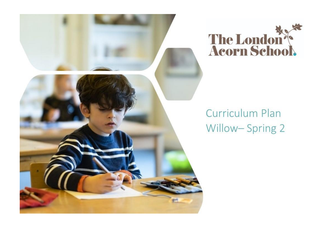



# Curriculum Plan Willow-Spring 2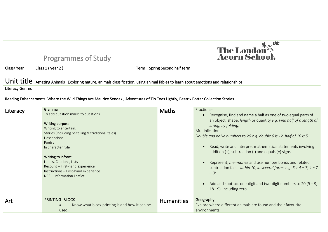

# Programmes of Study

Class/ Year Class 1 ( year 2 ) Term Spring Second half term

### Unit title : Amazing Animals Exploring nature, animals classification, using animal fables to learn about emotions and relationships

Literacy Genres

#### Reading Enhancements Where the Wild Things Are Maurice Sendak , Adventures of Tip Toes Lightly, Beatrix Potter Collection Stories

| Literacy   | Grammar<br>To add question marks to questions.<br>Writing purpose<br>Writing to entertain:<br>Stories (Including re-telling & traditional tales)<br>Descriptions<br>Poetry<br>In character role<br>Writing to inform:<br>Labels, Captions, Lists<br>Recount - First-hand experience<br>Instructions - First-hand experience<br>NCR - Information Leaflet | <b>Maths</b>      | Fractions-<br>Recognise, find and name a half as one of two equal parts of<br>an object, shape, length or quantity e.g. Find half of a length of<br>string, by folding;<br>Multiplication<br>Double and halve numbers to 20 e.g. double 6 is 12, half of 10 is 5<br>Read, write and interpret mathematical statements involving<br>addition $(+)$ , subtraction $(-)$ and equals $(=)$ signs<br>Represent, me=morise and use number bonds and related<br>subtraction facts within 10, in several forms e.g. $3 + 4 = 7$ ; $4 = 7$<br>$-3;$<br>Add and subtract one-digit and two-digit numbers to 20 (9 + 9,<br>18 - 9), including zero |
|------------|----------------------------------------------------------------------------------------------------------------------------------------------------------------------------------------------------------------------------------------------------------------------------------------------------------------------------------------------------------|-------------------|-----------------------------------------------------------------------------------------------------------------------------------------------------------------------------------------------------------------------------------------------------------------------------------------------------------------------------------------------------------------------------------------------------------------------------------------------------------------------------------------------------------------------------------------------------------------------------------------------------------------------------------------|
| <b>Art</b> | <b>PRINTING -BLOCK</b><br>Know what block printing is and how it can be<br>used                                                                                                                                                                                                                                                                          | <b>Humanities</b> | Geography<br>Explore where different animals are found and their favourite<br>environments                                                                                                                                                                                                                                                                                                                                                                                                                                                                                                                                              |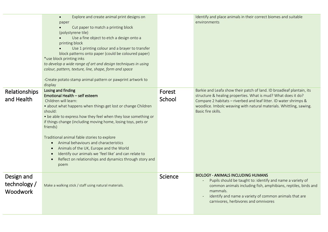| Relationships                                 | Explore and create animal print designs on<br>$\bullet$<br>paper<br>Cut paper to match a printing block<br>(polystyrene tile)<br>Use a fine object to etch a design onto a<br>printing block<br>Use 1 printing colour and a brayer to transfer<br>block patterns onto paper (could be coloured paper)<br>*use block printing inks<br>to develop a wide range of art and design techniques in using<br>colour, pattern, texture, line, shape, form and space<br>-Create potato stamp animal pattern or pawprint artwork to<br>display<br>Losing and finding                                          | Forest  | Identify and place animals in their correct biomes and suitable<br>environments<br>Barkie and Leafa show their patch of land. ID broadleaf plantain, its                                                                                                                                |
|-----------------------------------------------|-----------------------------------------------------------------------------------------------------------------------------------------------------------------------------------------------------------------------------------------------------------------------------------------------------------------------------------------------------------------------------------------------------------------------------------------------------------------------------------------------------------------------------------------------------------------------------------------------------|---------|-----------------------------------------------------------------------------------------------------------------------------------------------------------------------------------------------------------------------------------------------------------------------------------------|
| and Health                                    | Emotional Health - self esteem<br>Children will learn:<br>• about what happens when things get lost or change Children<br>should:<br>• be able to express how they feel when they lose something or<br>if things change (including moving home, losing toys, pets or<br>friends)<br>Traditional animal fable stories to explore<br>Animal behaviours and characteristics<br>$\bullet$<br>Animals of the UK, Europe and the World<br>$\bullet$<br>Identify our animals we 'feel like' and can relate to<br>$\bullet$<br>Reflect on relationships and dynamics through story and<br>$\bullet$<br>poem | School  | structure & healing properties. What is mud? What does it do?<br>Compare 2 habitats - riverbed and leaf litter. ID water shrimps &<br>woodlice. Imbolc weaving with natural materials. Whittling, sawing.<br>Basic fire skills.                                                         |
| Design and<br>technology /<br><b>Woodwork</b> | Make a walking stick / staff using natural materials.                                                                                                                                                                                                                                                                                                                                                                                                                                                                                                                                               | Science | <b>BIOLOGY - ANIMALS INCLUDING HUMANS</b><br>Pupils should be taught to: identify and name a variety of<br>common animals including fish, amphibians, reptiles, birds and<br>mammals.<br>identify and name a variety of common animals that are<br>carnivores, herbivores and omnivores |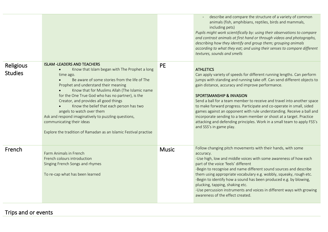|                             |                                                                                                                                                                                                                                                                                                                                                                                                                                                                                                                                                                                        |              | describe and compare the structure of a variety of common<br>animals (fish, amphibians, reptiles, birds and mammals,<br>including pets)<br>Pupils might work scientifically by: using their observations to compare<br>and contrast animals at first hand or through videos and photographs,<br>describing how they identify and group them; grouping animals<br>according to what they eat; and using their senses to compare different<br>textures, sounds and smells                                                                                                                                                                                                  |
|-----------------------------|----------------------------------------------------------------------------------------------------------------------------------------------------------------------------------------------------------------------------------------------------------------------------------------------------------------------------------------------------------------------------------------------------------------------------------------------------------------------------------------------------------------------------------------------------------------------------------------|--------------|--------------------------------------------------------------------------------------------------------------------------------------------------------------------------------------------------------------------------------------------------------------------------------------------------------------------------------------------------------------------------------------------------------------------------------------------------------------------------------------------------------------------------------------------------------------------------------------------------------------------------------------------------------------------------|
| Religious<br><b>Studies</b> | <b>ISLAM -LEADERS AND TEACHERS</b><br>Know that Islam began with The Prophet a long<br>$\bullet$<br>time ago.<br>Be aware of some stories from the life of The<br>Prophet and understand their meaning<br>Know that for Muslims Allah (The Islamic name<br>for the One True God who has no partner), is the<br>Creator, and provides all good things<br>Know the belief that each person has two<br>angels to watch over them<br>Ask and respond imaginatively to puzzling questions,<br>communicating their ideas<br>Explore the tradition of Ramadan as an Islamic Festival practise | <b>PE</b>    | <b>ATHLETICS</b><br>Can apply variety of speeds for different running lengths. Can perform<br>jumps with standing and running take off. Can send different objects to<br>gain distance, accuracy and improve performance.<br><b>SPORTSMANSHIP &amp; INVASION</b><br>Send a ball for a team member to receive and travel into another space<br>to make forward progress. Participate and co-operate in small, sided<br>games against an opponent with rule understanding. Receive a ball and<br>incorporate sending to a team member or shoot at a target. Practice<br>attacking and defending principles. Work in a small team to apply FSS's<br>and SSS's in game play. |
| French                      | Farm Animals in French<br>French colours introduction<br>Singing French Songs and rhymes<br>To re-cap what has been learned                                                                                                                                                                                                                                                                                                                                                                                                                                                            | <b>Music</b> | Follow changing pitch movements with their hands, with some<br>accuracy.<br>-Use high, low and middle voices with some awareness of how each<br>part of the voice 'feels' different<br>-Begin to recognise and name different sound sources and describe<br>them using appropriate vocabulary e.g. wobbly, squeaky, rough etc.<br>-Begin to identify how a sound has been produced e.g. by blowing,<br>plucking, tapping, shaking etc.<br>-Use percussion instruments and voices in different ways with growing<br>awareness of the effect created.                                                                                                                      |

## Trips and or events